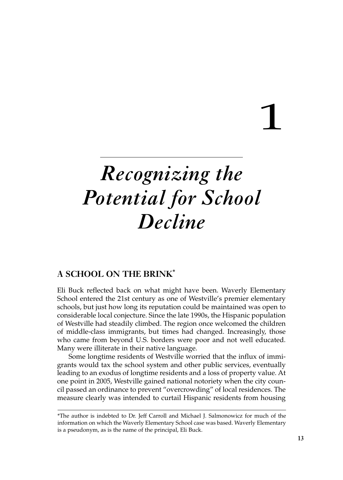# *Recognizing the Potential for School Decline*

## **A SCHOOL ON THE BRINK\***

Eli Buck reflected back on what might have been. Waverly Elementary School entered the 21st century as one of Westville's premier elementary schools, but just how long its reputation could be maintained was open to considerable local conjecture. Since the late 1990s, the Hispanic population of Westville had steadily climbed. The region once welcomed the children of middle-class immigrants, but times had changed. Increasingly, those who came from beyond U.S. borders were poor and not well educated. Many were illiterate in their native language.

Some longtime residents of Westville worried that the influx of immigrants would tax the school system and other public services, eventually leading to an exodus of longtime residents and a loss of property value. At one point in 2005, Westville gained national notoriety when the city council passed an ordinance to prevent "overcrowding" of local residences. The measure clearly was intended to curtail Hispanic residents from housing

1

<sup>\*</sup>The author is indebted to Dr. Jeff Carroll and Michael J. Salmonowicz for much of the information on which the Waverly Elementary School case was based. Waverly Elementary is a pseudonym, as is the name of the principal, Eli Buck.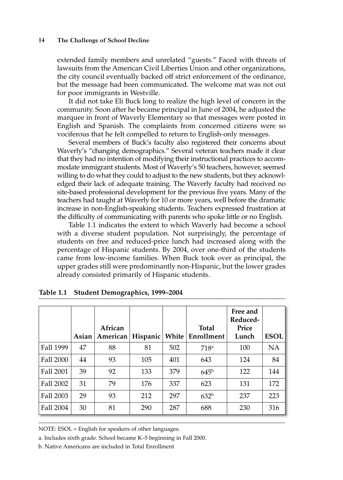extended family members and unrelated "guests." Faced with threats of lawsuits from the American Civil Liberties Union and other organizations, the city council eventually backed off strict enforcement of the ordinance, but the message had been communicated. The welcome mat was not out for poor immigrants in Westville.

It did not take Eli Buck long to realize the high level of concern in the community. Soon after he became principal in June of 2004, he adjusted the marquee in front of Waverly Elementary so that messages were posted in English and Spanish. The complaints from concerned citizens were so vociferous that he felt compelled to return to English-only messages.

Several members of Buck's faculty also registered their concerns about Waverly's "changing demographics." Several veteran teachers made it clear that they had no intention of modifying their instructional practices to accommodate immigrant students. Most of Waverly's 50 teachers, however, seemed willing to do what they could to adjust to the new students, but they acknowledged their lack of adequate training. The Waverly faculty had received no site-based professional development for the previous five years. Many of the teachers had taught at Waverly for 10 or more years, well before the dramatic increase in non-English-speaking students. Teachers expressed frustration at the difficulty of communicating with parents who spoke little or no English.

Table 1.1 indicates the extent to which Waverly had become a school with a diverse student population. Not surprisingly, the percentage of students on free and reduced-price lunch had increased along with the percentage of Hispanic students. By 2004, over one-third of the students came from low-income families. When Buck took over as principal, the upper grades still were predominantly non-Hispanic, but the lower grades already consisted primarily of Hispanic students.

|           | Asian | African<br>American | Hispanic | White | <b>Total</b><br>Enrollment | Free and<br>Reduced-<br>Price<br>Lunch | <b>ESOL</b> |
|-----------|-------|---------------------|----------|-------|----------------------------|----------------------------------------|-------------|
| Fall 1999 | 47    | 88                  | 81       | 502   | 718 <sup>a</sup>           | 100                                    | <b>NA</b>   |
| Fall 2000 | 44    | 93                  | 105      | 401   | 643                        | 124                                    | 84          |
| Fall 2001 | 39    | 92                  | 133      | 379   | 645 <sup>b</sup>           | 122                                    | 144         |
| Fall 2002 | 31    | 79                  | 176      | 337   | 623                        | 131                                    | 172         |
| Fall 2003 | 29    | 93                  | 212      | 297   | 632 <sup>b</sup>           | 237                                    | 223         |
| Fall 2004 | 30    | 81                  | 290      | 287   | 688                        | 230                                    | 316         |

**Table 1.1 Student Demographics, 1999–2004**

NOTE: ESOL = English for speakers of other languages.

a. Includes sixth grade. School became K–5 beginning in Fall 2000.

b. Native Americans are included in Total Enrollment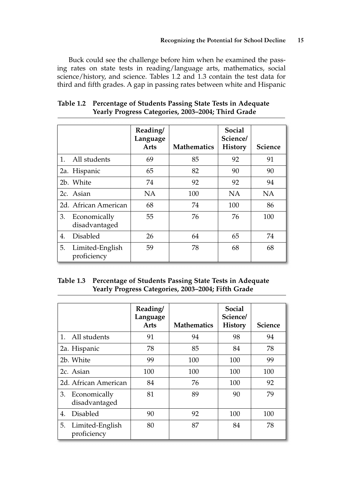Buck could see the challenge before him when he examined the passing rates on state tests in reading/language arts, mathematics, social science/history, and science. Tables 1.2 and 1.3 contain the test data for third and fifth grades. A gap in passing rates between white and Hispanic

|         |                                | Reading/<br>Language<br><b>Arts</b> | <b>Mathematics</b> | Social<br>Science/<br><b>History</b> | <b>Science</b> |
|---------|--------------------------------|-------------------------------------|--------------------|--------------------------------------|----------------|
| $1_{-}$ | All students                   | 69                                  | 85                 | 92                                   | 91             |
|         | 2a. Hispanic                   | 65                                  | 82                 | 90                                   | 90             |
|         | 2b. White                      | 74                                  | 92                 | 92                                   | 94             |
|         | 2c. Asian                      | <b>NA</b>                           | 100                | <b>NA</b>                            | <b>NA</b>      |
|         | 2d. African American           | 68                                  | 74                 | 100                                  | 86             |
| 3.      | Economically<br>disadvantaged  | 55                                  | 76                 | 76                                   | 100            |
| 4.      | <b>Disabled</b>                | 26                                  | 64                 | 65                                   | 74             |
| 5.      | Limited-English<br>proficiency | 59                                  | 78                 | 68                                   | 68             |

| Table 1.2 Percentage of Students Passing State Tests in Adequate |
|------------------------------------------------------------------|
| Yearly Progress Categories, 2003–2004; Third Grade               |

**Table 1.3 Percentage of Students Passing State Tests in Adequate Yearly Progress Categories, 2003–2004; Fifth Grade**

|                                      | Reading/<br>Language<br>Arts | <b>Mathematics</b> | Social<br>Science/<br><b>History</b> | <b>Science</b> |
|--------------------------------------|------------------------------|--------------------|--------------------------------------|----------------|
| All students<br>1.                   | 91                           | 94                 | 98                                   | 94             |
| 2a. Hispanic                         | 78                           | 85                 | 84                                   | 78             |
| 2b. White                            | 99                           | 100                | 100                                  | 99             |
| 2c. Asian                            | 100                          | 100                | 100                                  | 100            |
| 2d. African American                 | 84                           | 76                 | 100                                  | 92             |
| Economically<br>3.<br>disadvantaged  | 81                           | 89                 | 90                                   | 79             |
| <b>Disabled</b><br>4.                | 90                           | 92                 | 100                                  | 100            |
| 5.<br>Limited-English<br>proficiency | 80                           | 87                 | 84                                   | 78             |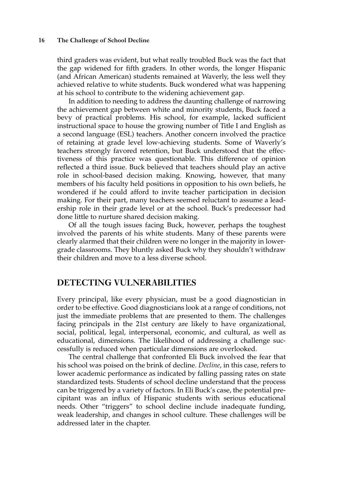#### **16 The Challenge of School Decline**

third graders was evident, but what really troubled Buck was the fact that the gap widened for fifth graders. In other words, the longer Hispanic (and African American) students remained at Waverly, the less well they achieved relative to white students. Buck wondered what was happening at his school to contribute to the widening achievement gap.

In addition to needing to address the daunting challenge of narrowing the achievement gap between white and minority students, Buck faced a bevy of practical problems. His school, for example, lacked sufficient instructional space to house the growing number of Title I and English as a second language (ESL) teachers. Another concern involved the practice of retaining at grade level low-achieving students. Some of Waverly's teachers strongly favored retention, but Buck understood that the effectiveness of this practice was questionable. This difference of opinion reflected a third issue. Buck believed that teachers should play an active role in school-based decision making. Knowing, however, that many members of his faculty held positions in opposition to his own beliefs, he wondered if he could afford to invite teacher participation in decision making. For their part, many teachers seemed reluctant to assume a leadership role in their grade level or at the school. Buck's predecessor had done little to nurture shared decision making.

Of all the tough issues facing Buck, however, perhaps the toughest involved the parents of his white students. Many of these parents were clearly alarmed that their children were no longer in the majority in lowergrade classrooms. They bluntly asked Buck why they shouldn't withdraw their children and move to a less diverse school.

### **DETECTING VULNERABILITIES**

Every principal, like every physician, must be a good diagnostician in order to be effective. Good diagnosticians look at a range of conditions, not just the immediate problems that are presented to them. The challenges facing principals in the 21st century are likely to have organizational, social, political, legal, interpersonal, economic, and cultural, as well as educational, dimensions. The likelihood of addressing a challenge successfully is reduced when particular dimensions are overlooked.

The central challenge that confronted Eli Buck involved the fear that his school was poised on the brink of decline. *Decline*, in this case, refers to lower academic performance as indicated by falling passing rates on state standardized tests. Students of school decline understand that the process can be triggered by a variety of factors. In Eli Buck's case, the potential precipitant was an influx of Hispanic students with serious educational needs. Other "triggers" to school decline include inadequate funding, weak leadership, and changes in school culture. These challenges will be addressed later in the chapter.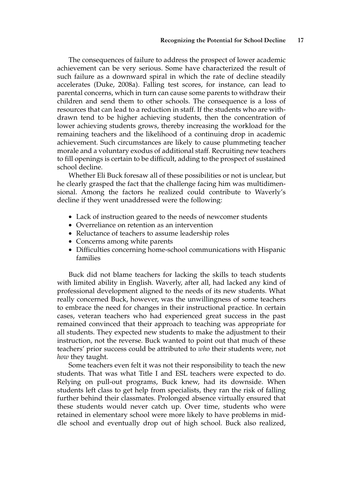#### **Recognizing the Potential for School Decline 17**

The consequences of failure to address the prospect of lower academic achievement can be very serious. Some have characterized the result of such failure as a downward spiral in which the rate of decline steadily accelerates (Duke, 2008a). Falling test scores, for instance, can lead to parental concerns, which in turn can cause some parents to withdraw their children and send them to other schools. The consequence is a loss of resources that can lead to a reduction in staff. If the students who are withdrawn tend to be higher achieving students, then the concentration of lower achieving students grows, thereby increasing the workload for the remaining teachers and the likelihood of a continuing drop in academic achievement. Such circumstances are likely to cause plummeting teacher morale and a voluntary exodus of additional staff. Recruiting new teachers to fill openings is certain to be difficult, adding to the prospect of sustained school decline.

Whether Eli Buck foresaw all of these possibilities or not is unclear, but he clearly grasped the fact that the challenge facing him was multidimensional. Among the factors he realized could contribute to Waverly's decline if they went unaddressed were the following:

- Lack of instruction geared to the needs of newcomer students
- Overreliance on retention as an intervention
- Reluctance of teachers to assume leadership roles
- Concerns among white parents
- Difficulties concerning home-school communications with Hispanic families

Buck did not blame teachers for lacking the skills to teach students with limited ability in English. Waverly, after all, had lacked any kind of professional development aligned to the needs of its new students. What really concerned Buck, however, was the unwillingness of some teachers to embrace the need for changes in their instructional practice. In certain cases, veteran teachers who had experienced great success in the past remained convinced that their approach to teaching was appropriate for all students. They expected new students to make the adjustment to their instruction, not the reverse. Buck wanted to point out that much of these teachers' prior success could be attributed to *who* their students were, not *how* they taught.

Some teachers even felt it was not their responsibility to teach the new students. That was what Title I and ESL teachers were expected to do. Relying on pull-out programs, Buck knew, had its downside. When students left class to get help from specialists, they ran the risk of falling further behind their classmates. Prolonged absence virtually ensured that these students would never catch up. Over time, students who were retained in elementary school were more likely to have problems in middle school and eventually drop out of high school. Buck also realized,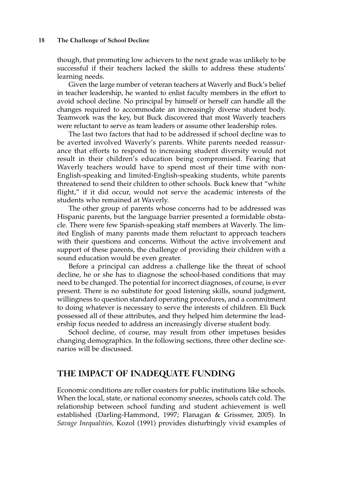though, that promoting low achievers to the next grade was unlikely to be successful if their teachers lacked the skills to address these students' learning needs.

Given the large number of veteran teachers at Waverly and Buck's belief in teacher leadership, he wanted to enlist faculty members in the effort to avoid school decline. No principal by himself or herself can handle all the changes required to accommodate an increasingly diverse student body. Teamwork was the key, but Buck discovered that most Waverly teachers were reluctant to serve as team leaders or assume other leadership roles.

The last two factors that had to be addressed if school decline was to be averted involved Waverly's parents. White parents needed reassurance that efforts to respond to increasing student diversity would not result in their children's education being compromised. Fearing that Waverly teachers would have to spend most of their time with non-English-speaking and limited-English-speaking students, white parents threatened to send their children to other schools. Buck knew that "white flight," if it did occur, would not serve the academic interests of the students who remained at Waverly.

The other group of parents whose concerns had to be addressed was Hispanic parents, but the language barrier presented a formidable obstacle. There were few Spanish-speaking staff members at Waverly. The limited English of many parents made them reluctant to approach teachers with their questions and concerns. Without the active involvement and support of these parents, the challenge of providing their children with a sound education would be even greater.

Before a principal can address a challenge like the threat of school decline, he or she has to diagnose the school-based conditions that may need to be changed. The potential for incorrect diagnoses, of course, is ever present. There is no substitute for good listening skills, sound judgment, willingness to question standard operating procedures, and a commitment to doing whatever is necessary to serve the interests of children. Eli Buck possessed all of these attributes, and they helped him determine the leadership focus needed to address an increasingly diverse student body.

School decline, of course, may result from other impetuses besides changing demographics. In the following sections, three other decline scenarios will be discussed.

## **THE IMPACT OF INADEQUATE FUNDING**

Economic conditions are roller coasters for public institutions like schools. When the local, state, or national economy sneezes, schools catch cold. The relationship between school funding and student achievement is well established (Darling-Hammond, 1997; Flanagan & Grissmer, 2005). In *Savage Inequalities,* Kozol (1991) provides disturbingly vivid examples of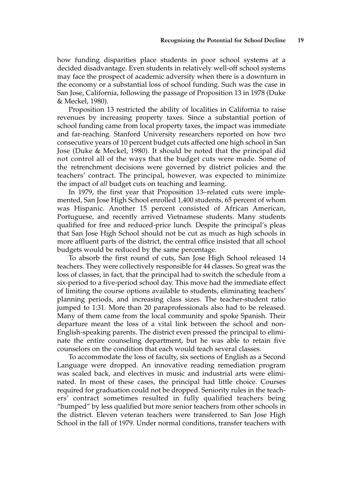how funding disparities place students in poor school systems at a decided disadvantage. Even students in relatively well-off school systems may face the prospect of academic adversity when there is a downturn in the economy or a substantial loss of school funding. Such was the case in San Jose, California, following the passage of Proposition 13 in 1978 (Duke & Meckel, 1980).

Proposition 13 restricted the ability of localities in California to raise revenues by increasing property taxes. Since a substantial portion of school funding came from local property taxes, the impact was immediate and far-reaching. Stanford University researchers reported on how two consecutive years of 10 percent budget cuts affected one high school in San Jose (Duke & Meckel, 1980). It should be noted that the principal did not control all of the ways that the budget cuts were made. Some of the retrenchment decisions were governed by district policies and the teachers' contract. The principal, however, was expected to minimize the impact of *all* budget cuts on teaching and learning.

In 1979, the first year that Proposition 13–related cuts were implemented, San Jose High School enrolled 1,400 students, 65 percent of whom was Hispanic. Another 15 percent consisted of African American, Portuguese, and recently arrived Vietnamese students. Many students qualified for free and reduced-price lunch. Despite the principal's pleas that San Jose High School should not be cut as much as high schools in more affluent parts of the district, the central office insisted that all school budgets would be reduced by the same percentage.

To absorb the first round of cuts, San Jose High School released 14 teachers. They were collectively responsible for 44 classes. So great was the loss of classes, in fact, that the principal had to switch the schedule from a six-period to a five-period school day. This move had the immediate effect of limiting the course options available to students, eliminating teachers' planning periods, and increasing class sizes. The teacher-student ratio jumped to 1:31. More than 20 paraprofessionals also had to be released. Many of them came from the local community and spoke Spanish. Their departure meant the loss of a vital link between the school and non-English-speaking parents. The district even pressed the principal to eliminate the entire counseling department, but he was able to retain five counselors on the condition that each would teach several classes.

To accommodate the loss of faculty, six sections of English as a Second Language were dropped. An innovative reading remediation program was scaled back, and electives in music and industrial arts were eliminated. In most of these cases, the principal had little choice. Courses required for graduation could not be dropped. Seniority rules in the teachers' contract sometimes resulted in fully qualified teachers being "bumped" by less qualified but more senior teachers from other schools in the district. Eleven veteran teachers were transferred to San Jose High School in the fall of 1979. Under normal conditions, transfer teachers with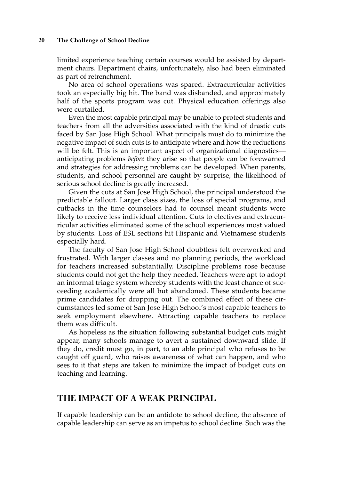limited experience teaching certain courses would be assisted by department chairs. Department chairs, unfortunately, also had been eliminated as part of retrenchment.

No area of school operations was spared. Extracurricular activities took an especially big hit. The band was disbanded, and approximately half of the sports program was cut. Physical education offerings also were curtailed.

Even the most capable principal may be unable to protect students and teachers from all the adversities associated with the kind of drastic cuts faced by San Jose High School. What principals must do to minimize the negative impact of such cuts is to anticipate where and how the reductions will be felt. This is an important aspect of organizational diagnostics anticipating problems *before* they arise so that people can be forewarned and strategies for addressing problems can be developed. When parents, students, and school personnel are caught by surprise, the likelihood of serious school decline is greatly increased.

Given the cuts at San Jose High School, the principal understood the predictable fallout. Larger class sizes, the loss of special programs, and cutbacks in the time counselors had to counsel meant students were likely to receive less individual attention. Cuts to electives and extracurricular activities eliminated some of the school experiences most valued by students. Loss of ESL sections hit Hispanic and Vietnamese students especially hard.

The faculty of San Jose High School doubtless felt overworked and frustrated. With larger classes and no planning periods, the workload for teachers increased substantially. Discipline problems rose because students could not get the help they needed. Teachers were apt to adopt an informal triage system whereby students with the least chance of succeeding academically were all but abandoned. These students became prime candidates for dropping out. The combined effect of these circumstances led some of San Jose High School's most capable teachers to seek employment elsewhere. Attracting capable teachers to replace them was difficult.

As hopeless as the situation following substantial budget cuts might appear, many schools manage to avert a sustained downward slide. If they do, credit must go, in part, to an able principal who refuses to be caught off guard, who raises awareness of what can happen, and who sees to it that steps are taken to minimize the impact of budget cuts on teaching and learning.

### **THE IMPACT OF A WEAK PRINCIPAL**

If capable leadership can be an antidote to school decline, the absence of capable leadership can serve as an impetus to school decline. Such was the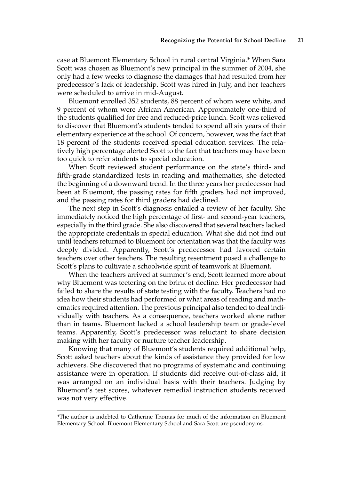case at Bluemont Elementary School in rural central Virginia.\* When Sara Scott was chosen as Bluemont's new principal in the summer of 2004, she only had a few weeks to diagnose the damages that had resulted from her predecessor's lack of leadership. Scott was hired in July, and her teachers were scheduled to arrive in mid-August.

Bluemont enrolled 352 students, 88 percent of whom were white, and 9 percent of whom were African American. Approximately one-third of the students qualified for free and reduced-price lunch. Scott was relieved to discover that Bluemont's students tended to spend all six years of their elementary experience at the school. Of concern, however, was the fact that 18 percent of the students received special education services. The relatively high percentage alerted Scott to the fact that teachers may have been too quick to refer students to special education.

When Scott reviewed student performance on the state's third- and fifth-grade standardized tests in reading and mathematics, she detected the beginning of a downward trend. In the three years her predecessor had been at Bluemont, the passing rates for fifth graders had not improved, and the passing rates for third graders had declined.

The next step in Scott's diagnosis entailed a review of her faculty. She immediately noticed the high percentage of first- and second-year teachers, especially in the third grade. She also discovered that several teachers lacked the appropriate credentials in special education. What she did not find out until teachers returned to Bluemont for orientation was that the faculty was deeply divided. Apparently, Scott's predecessor had favored certain teachers over other teachers. The resulting resentment posed a challenge to Scott's plans to cultivate a schoolwide spirit of teamwork at Bluemont.

When the teachers arrived at summer's end, Scott learned more about why Bluemont was teetering on the brink of decline. Her predecessor had failed to share the results of state testing with the faculty. Teachers had no idea how their students had performed or what areas of reading and mathematics required attention. The previous principal also tended to deal individually with teachers. As a consequence, teachers worked alone rather than in teams. Bluemont lacked a school leadership team or grade-level teams. Apparently, Scott's predecessor was reluctant to share decision making with her faculty or nurture teacher leadership.

Knowing that many of Bluemont's students required additional help, Scott asked teachers about the kinds of assistance they provided for low achievers. She discovered that no programs of systematic and continuing assistance were in operation. If students did receive out-of-class aid, it was arranged on an individual basis with their teachers. Judging by Bluemont's test scores, whatever remedial instruction students received was not very effective.

<sup>\*</sup>The author is indebted to Catherine Thomas for much of the information on Bluemont Elementary School. Bluemont Elementary School and Sara Scott are pseudonyms.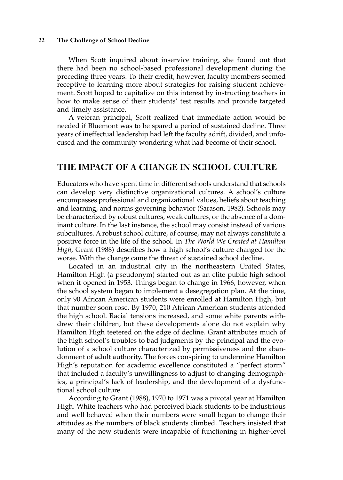#### **22 The Challenge of School Decline**

When Scott inquired about inservice training, she found out that there had been no school-based professional development during the preceding three years. To their credit, however, faculty members seemed receptive to learning more about strategies for raising student achievement. Scott hoped to capitalize on this interest by instructing teachers in how to make sense of their students' test results and provide targeted and timely assistance.

A veteran principal, Scott realized that immediate action would be needed if Bluemont was to be spared a period of sustained decline. Three years of ineffectual leadership had left the faculty adrift, divided, and unfocused and the community wondering what had become of their school.

#### **THE IMPACT OF A CHANGE IN SCHOOL CULTURE**

Educators who have spent time in different schools understand that schools can develop very distinctive organizational cultures. A school's culture encompasses professional and organizational values, beliefs about teaching and learning, and norms governing behavior (Sarason, 1982). Schools may be characterized by robust cultures, weak cultures, or the absence of a dominant culture. In the last instance, the school may consist instead of various subcultures. A robust school culture, of course, may not always constitute a positive force in the life of the school. In *The World We Created at Hamilton High,* Grant (1988) describes how a high school's culture changed for the worse. With the change came the threat of sustained school decline.

Located in an industrial city in the northeastern United States, Hamilton High (a pseudonym) started out as an elite public high school when it opened in 1953. Things began to change in 1966, however, when the school system began to implement a desegregation plan. At the time, only 90 African American students were enrolled at Hamilton High, but that number soon rose. By 1970, 210 African American students attended the high school. Racial tensions increased, and some white parents withdrew their children, but these developments alone do not explain why Hamilton High teetered on the edge of decline. Grant attributes much of the high school's troubles to bad judgments by the principal and the evolution of a school culture characterized by permissiveness and the abandonment of adult authority. The forces conspiring to undermine Hamilton High's reputation for academic excellence constituted a "perfect storm" that included a faculty's unwillingness to adjust to changing demographics, a principal's lack of leadership, and the development of a dysfunctional school culture.

According to Grant (1988), 1970 to 1971 was a pivotal year at Hamilton High. White teachers who had perceived black students to be industrious and well behaved when their numbers were small began to change their attitudes as the numbers of black students climbed. Teachers insisted that many of the new students were incapable of functioning in higher-level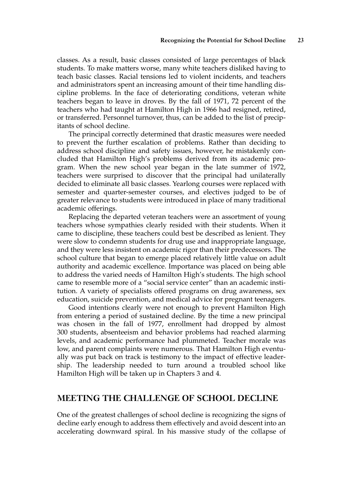classes. As a result, basic classes consisted of large percentages of black students. To make matters worse, many white teachers disliked having to teach basic classes. Racial tensions led to violent incidents, and teachers and administrators spent an increasing amount of their time handling discipline problems. In the face of deteriorating conditions, veteran white teachers began to leave in droves. By the fall of 1971, 72 percent of the teachers who had taught at Hamilton High in 1966 had resigned, retired, or transferred. Personnel turnover, thus, can be added to the list of precipitants of school decline.

The principal correctly determined that drastic measures were needed to prevent the further escalation of problems. Rather than deciding to address school discipline and safety issues, however, he mistakenly concluded that Hamilton High's problems derived from its academic program. When the new school year began in the late summer of 1972, teachers were surprised to discover that the principal had unilaterally decided to eliminate all basic classes. Yearlong courses were replaced with semester and quarter-semester courses, and electives judged to be of greater relevance to students were introduced in place of many traditional academic offerings.

Replacing the departed veteran teachers were an assortment of young teachers whose sympathies clearly resided with their students. When it came to discipline, these teachers could best be described as lenient. They were slow to condemn students for drug use and inappropriate language, and they were less insistent on academic rigor than their predecessors. The school culture that began to emerge placed relatively little value on adult authority and academic excellence. Importance was placed on being able to address the varied needs of Hamilton High's students. The high school came to resemble more of a "social service center" than an academic institution. A variety of specialists offered programs on drug awareness, sex education, suicide prevention, and medical advice for pregnant teenagers.

Good intentions clearly were not enough to prevent Hamilton High from entering a period of sustained decline. By the time a new principal was chosen in the fall of 1977, enrollment had dropped by almost 300 students, absenteeism and behavior problems had reached alarming levels, and academic performance had plummeted. Teacher morale was low, and parent complaints were numerous. That Hamilton High eventually was put back on track is testimony to the impact of effective leadership. The leadership needed to turn around a troubled school like Hamilton High will be taken up in Chapters 3 and 4.

#### **MEETING THE CHALLENGE OF SCHOOL DECLINE**

One of the greatest challenges of school decline is recognizing the signs of decline early enough to address them effectively and avoid descent into an accelerating downward spiral. In his massive study of the collapse of